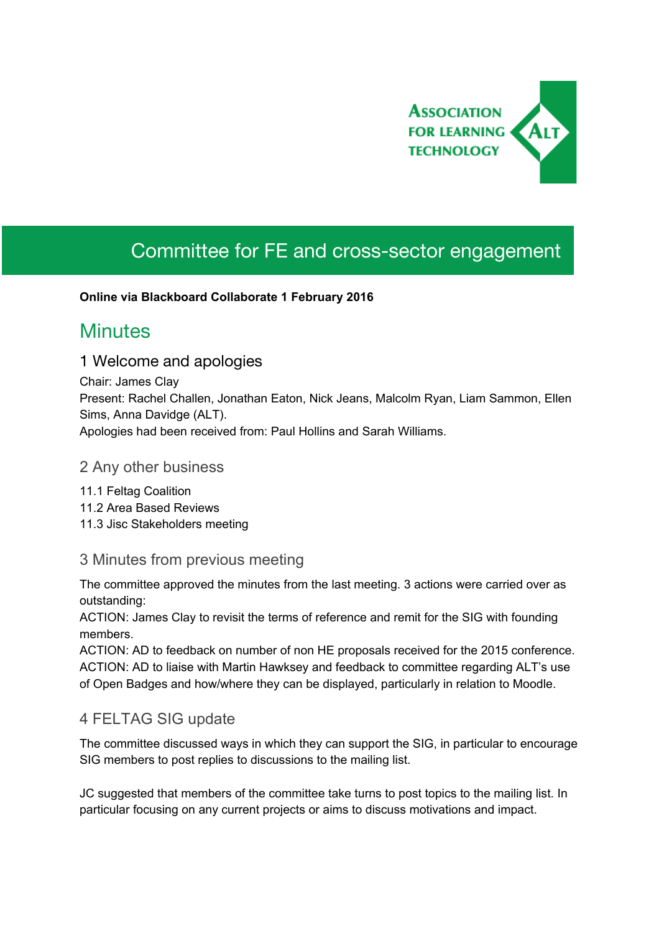

# Committee for FE and cross-sector engagement

#### **Online via Blackboard Collaborate 1 February 2016**

## **Minutes**

#### 1 Welcome and apologies

Chair: James Clay Present: Rachel Challen, Jonathan Eaton, Nick Jeans, Malcolm Ryan, Liam Sammon, Ellen Sims, Anna Davidge (ALT). Apologies had been received from: Paul Hollins and Sarah Williams.

#### 2 Any other business

- 11.1 Feltag Coalition 11.2 Area Based Reviews
- 11.3 Jisc Stakeholders meeting

#### 3 Minutes from previous meeting

The committee approved the minutes from the last meeting. 3 actions were carried over as outstanding:

ACTION: James Clay to revisit the terms of reference and remit for the SIG with founding members.

ACTION: AD to feedback on number of non HE proposals received for the 2015 conference. ACTION: AD to liaise with Martin Hawksey and feedback to committee regarding ALT's use of Open Badges and how/where they can be displayed, particularly in relation to Moodle.

#### 4 FELTAG SIG update

The committee discussed ways in which they can support the SIG, in particular to encourage SIG members to post replies to discussions to the mailing list.

JC suggested that members of the committee take turns to post topics to the mailing list. In particular focusing on any current projects or aims to discuss motivations and impact.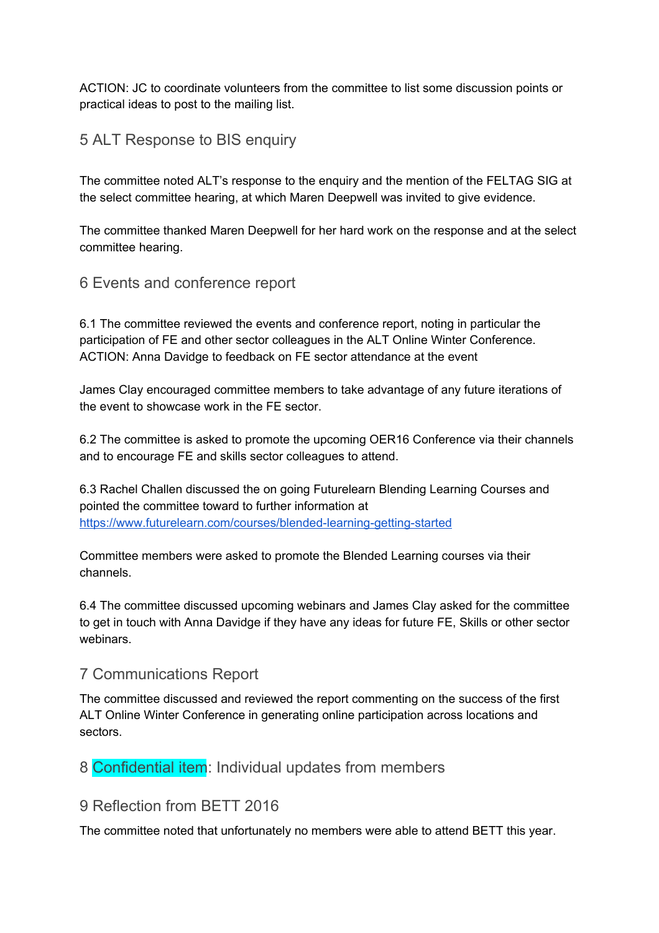ACTION: JC to coordinate volunteers from the committee to list some discussion points or practical ideas to post to the mailing list.

## 5 ALT Response to BIS enquiry

The committee noted ALT's response to the enquiry and the mention of the FELTAG SIG at the select committee hearing, at which Maren Deepwell was invited to give evidence.

The committee thanked Maren Deepwell for her hard work on the response and at the select committee hearing.

6 Events and conference report

6.1 The committee reviewed the events and conference report, noting in particular the participation of FE and other sector colleagues in the ALT Online Winter Conference. ACTION: Anna Davidge to feedback on FE sector attendance at the event

James Clay encouraged committee members to take advantage of any future iterations of the event to showcase work in the FE sector.

6.2 The committee is asked to promote the upcoming OER16 Conference via their channels and to encourage FE and skills sector colleagues to attend.

6.3 Rachel Challen discussed the on going Futurelearn Blending Learning Courses and pointed the committee toward to further information at https://www.futurelearn.com/courses/blended-learning-getting-started

Committee members were asked to promote the Blended Learning courses via their channels.

6.4 The committee discussed upcoming webinars and James Clay asked for the committee to get in touch with Anna Davidge if they have any ideas for future FE, Skills or other sector webinars.

## 7 Communications Report

The committee discussed and reviewed the report commenting on the success of the first ALT Online Winter Conference in generating online participation across locations and sectors.

8 Confidential item: Individual updates from members

## 9 Reflection from BETT 2016

The committee noted that unfortunately no members were able to attend BETT this year.